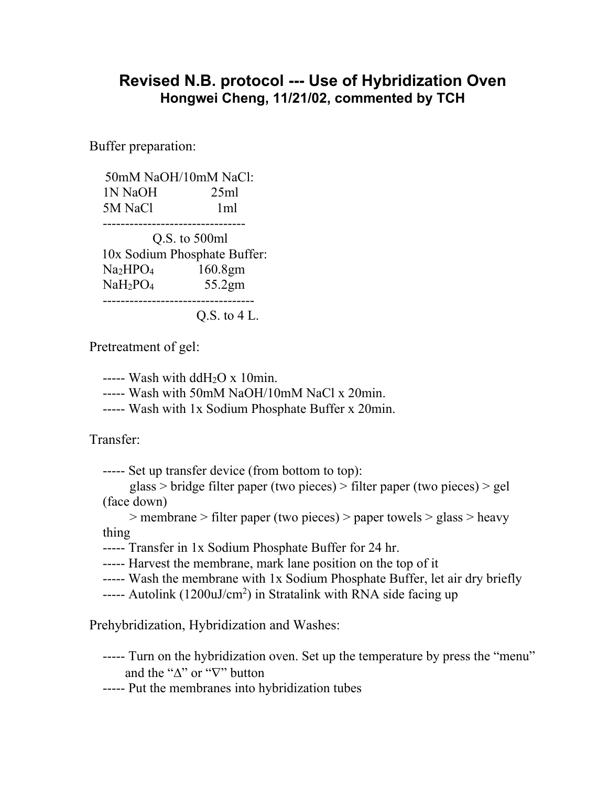## **Revised N.B. protocol --- Use of Hybridization Oven Hongwei Cheng, 11/21/02, commented by TCH**

Buffer preparation:

 50mM NaOH/10mM NaCl: 1N NaOH 25ml 5M NaCl 1ml -------------------------------- Q.S. to 500ml 10x Sodium Phosphate Buffer: Na2HPO4 160.8gm NaH2PO4 55.2gm

----------------------------------

Q.S. to 4 L.

Pretreatment of gel:

----- Wash with  $ddH<sub>2</sub>O x 10$ min.

----- Wash with 50mM NaOH/10mM NaCl x 20min.

----- Wash with 1x Sodium Phosphate Buffer x 20min.

Transfer:

----- Set up transfer device (from bottom to top):

 glass > bridge filter paper (two pieces) > filter paper (two pieces) > gel (face down)

 > membrane > filter paper (two pieces) > paper towels > glass > heavy thing

----- Transfer in 1x Sodium Phosphate Buffer for 24 hr.

----- Harvest the membrane, mark lane position on the top of it

----- Wash the membrane with 1x Sodium Phosphate Buffer, let air dry briefly

----- Autolink (1200uJ/cm<sup>2</sup>) in Stratalink with RNA side facing up

Prehybridization, Hybridization and Washes:

----- Turn on the hybridization oven. Set up the temperature by press the "menu" and the " $\Delta$ " or " $\nabla$ " button

----- Put the membranes into hybridization tubes